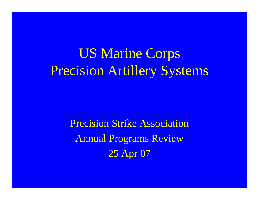US Marine Corps Precision Artillery Systems

> Precision Strike Association Annual Programs Review 25 Apr 07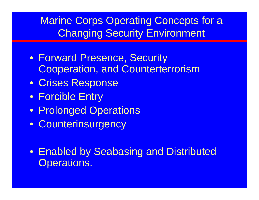#### Marine Corps Operating Concepts for a Changing Security Environment

- Forward Presence, Security Cooperation, and Counterterrorism
- Crises Response
- Forcible Entry
- Prolonged Operations
- Counterinsurgency
- Enabled by Seabasing and Distributed Operations.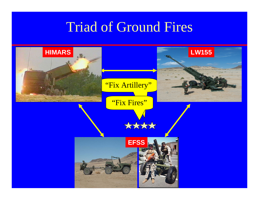## Triad of Ground Fires

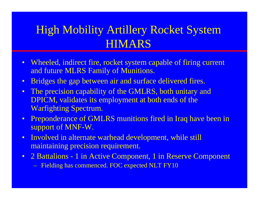### High Mobility Artillery Rocket System HIMARS

- Wheeled, indirect fire, rocket system capable of firing current and future MLRS Family of Munitions.
- Bridges the gap between air and surface delivered fires.
- The precision capability of the GMLRS, both unitary and DPICM, validates its employment at both ends of the Warfighting Spectrum.
- Preponderance of GMLRS munitions fired in Iraq have been in support of MNF-W.
- Involved in alternate warhead development, while still maintaining precision requirement.
- 2 Battalions 1 in Active Component, 1 in Reserve Component – Fielding has commenced. FOC expected NLT FY10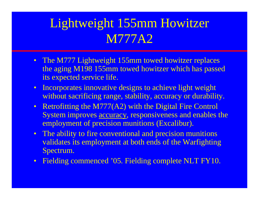## Lightweight 155mm Howitzer M777A2

- The M777 Lightweight 155mm towed howitzer replaces the aging M198 155mm towed howitzer which has passed its expected service life.
- Incorporates innovative designs to achieve light weight without sacrificing range, stability, accuracy or durability.
- Retrofitting the M777(A2) with the Digital Fire Control System improves accuracy, responsiveness and enables the employment of precision munitions (Excalibur).
- The ability to fire conventional and precision munitions validates its employment at both ends of the Warfighting Spectrum.
- Fielding commenced '05. Fielding complete NLT FY10.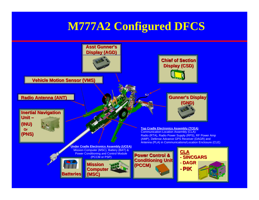### **M777A2 Configured DFCS**

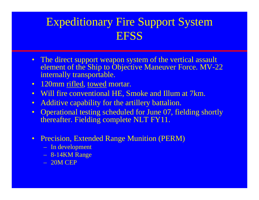### Expeditionary Fire Support System **EFSS**

- The direct support weapon system of the vertical assault element of the Ship to Objective Maneuver Force. MV-22 internally transportable.
- 120mm rifled, towed mortar.
- Will fire conventional HE, Smoke and Illum at 7km.
- Additive capability for the artillery battalion.
- Operational testing scheduled for June 07, fielding shortly thereafter. Fielding complete NLT FY11.
- Precision, Extended Range Munition (PERM)
	- In development
	- 8-14KM Range
	- 20M CEP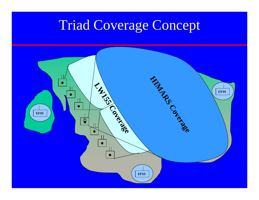# Triad Coverage Concept

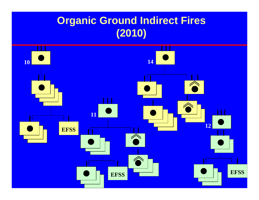### **Organic Ground Indirect Fires (2010)**

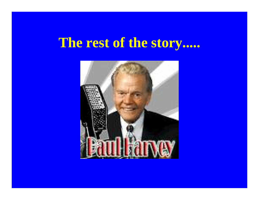## **The rest of the story.....**

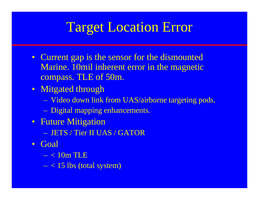# Target Location Error

- Current gap is the sensor for the dismounted Marine. 10mil inherent error in the magnetic compass. TLE of 50m.
- Mitgated through
	- Video down link from UAS/airborne targeting pods.
	- Digital mapping enhancements.
- Future Mitigation
	- JETS / Tier II UAS / GATOR
- Goal
	- < 10m TLE
	- $< 15$  lbs (total system)